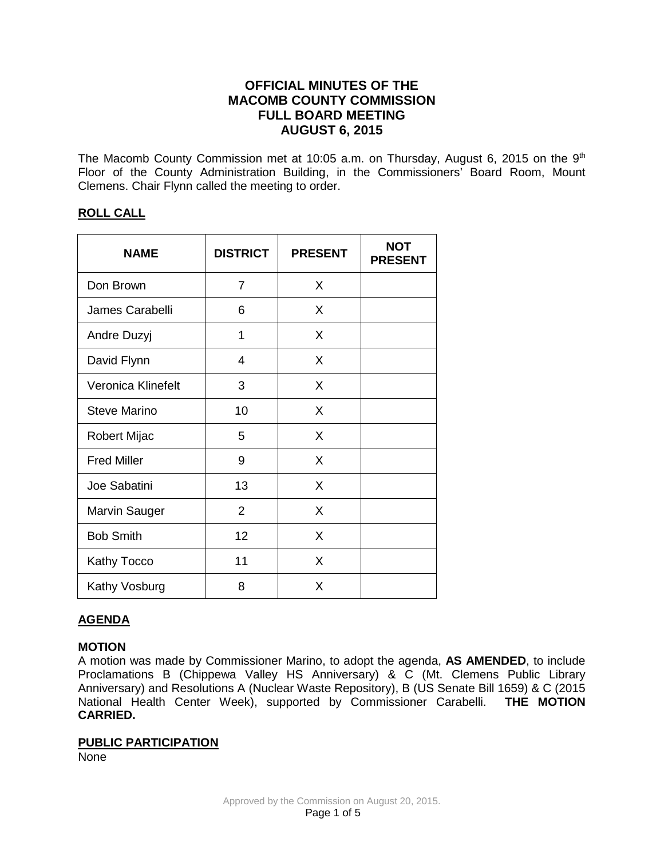# **OFFICIAL MINUTES OF THE MACOMB COUNTY COMMISSION FULL BOARD MEETING AUGUST 6, 2015**

The Macomb County Commission met at 10:05 a.m. on Thursday, August 6, 2015 on the 9<sup>th</sup> Floor of the County Administration Building, in the Commissioners' Board Room, Mount Clemens. Chair Flynn called the meeting to order.

### **ROLL CALL**

| <b>NAME</b>          | <b>DISTRICT</b> | <b>PRESENT</b> | <b>NOT</b><br><b>PRESENT</b> |
|----------------------|-----------------|----------------|------------------------------|
| Don Brown            | 7               | X              |                              |
| James Carabelli      | 6               | X              |                              |
| Andre Duzyj          | 1               | X              |                              |
| David Flynn          | 4               | X              |                              |
| Veronica Klinefelt   | 3               | X              |                              |
| <b>Steve Marino</b>  | 10              | X              |                              |
| Robert Mijac         | 5               | X              |                              |
| <b>Fred Miller</b>   | 9               | X              |                              |
| Joe Sabatini         | 13              | X              |                              |
| <b>Marvin Sauger</b> | $\overline{2}$  | X              |                              |
| <b>Bob Smith</b>     | 12              | X              |                              |
| Kathy Tocco          | 11              | X              |                              |
| Kathy Vosburg        | 8               | X              |                              |

### **AGENDA**

### **MOTION**

A motion was made by Commissioner Marino, to adopt the agenda, **AS AMENDED**, to include Proclamations B (Chippewa Valley HS Anniversary) & C (Mt. Clemens Public Library Anniversary) and Resolutions A (Nuclear Waste Repository), B (US Senate Bill 1659) & C (2015 National Health Center Week), supported by Commissioner Carabelli. **THE MOTION CARRIED.** 

#### **PUBLIC PARTICIPATION**

None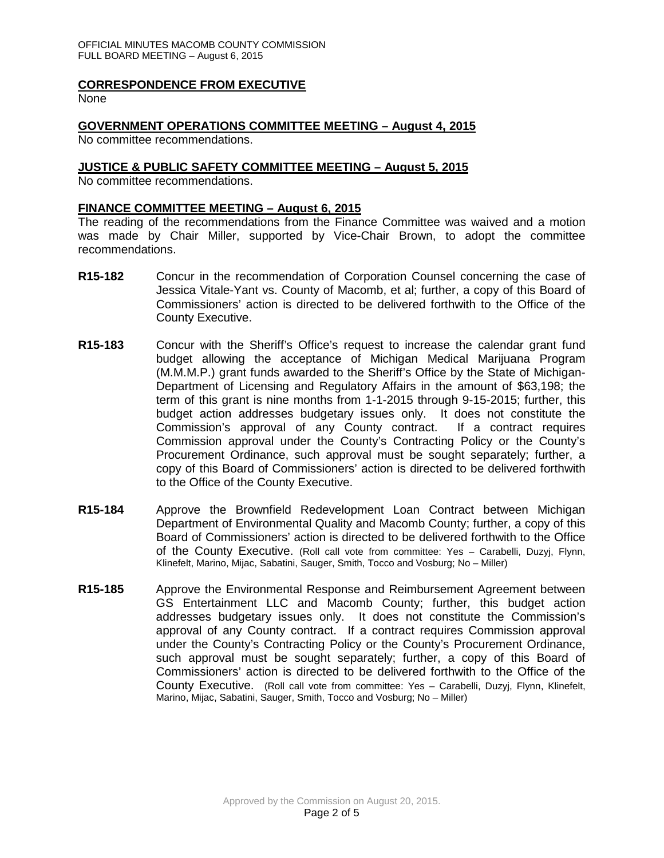### **CORRESPONDENCE FROM EXECUTIVE**

None

### **GOVERNMENT OPERATIONS COMMITTEE MEETING – August 4, 2015**

No committee recommendations.

### **JUSTICE & PUBLIC SAFETY COMMITTEE MEETING – August 5, 2015**

No committee recommendations.

### **FINANCE COMMITTEE MEETING – August 6, 2015**

The reading of the recommendations from the Finance Committee was waived and a motion was made by Chair Miller, supported by Vice-Chair Brown, to adopt the committee recommendations.

- **R15-182** Concur in the recommendation of Corporation Counsel concerning the case of Jessica Vitale-Yant vs. County of Macomb, et al; further, a copy of this Board of Commissioners' action is directed to be delivered forthwith to the Office of the County Executive.
- **R15-183** Concur with the Sheriff's Office's request to increase the calendar grant fund budget allowing the acceptance of Michigan Medical Marijuana Program (M.M.M.P.) grant funds awarded to the Sheriff's Office by the State of Michigan-Department of Licensing and Regulatory Affairs in the amount of \$63,198; the term of this grant is nine months from 1-1-2015 through 9-15-2015; further, this budget action addresses budgetary issues only. It does not constitute the Commission's approval of any County contract. If a contract requires Commission approval under the County's Contracting Policy or the County's Procurement Ordinance, such approval must be sought separately; further, a copy of this Board of Commissioners' action is directed to be delivered forthwith to the Office of the County Executive.
- **R15-184** Approve the Brownfield Redevelopment Loan Contract between Michigan Department of Environmental Quality and Macomb County; further, a copy of this Board of Commissioners' action is directed to be delivered forthwith to the Office of the County Executive. (Roll call vote from committee: Yes – Carabelli, Duzyj, Flynn, Klinefelt, Marino, Mijac, Sabatini, Sauger, Smith, Tocco and Vosburg; No – Miller)
- **R15-185** Approve the Environmental Response and Reimbursement Agreement between GS Entertainment LLC and Macomb County; further, this budget action addresses budgetary issues only. It does not constitute the Commission's approval of any County contract. If a contract requires Commission approval under the County's Contracting Policy or the County's Procurement Ordinance, such approval must be sought separately; further, a copy of this Board of Commissioners' action is directed to be delivered forthwith to the Office of the County Executive. (Roll call vote from committee: Yes – Carabelli, Duzyj, Flynn, Klinefelt, Marino, Mijac, Sabatini, Sauger, Smith, Tocco and Vosburg; No – Miller)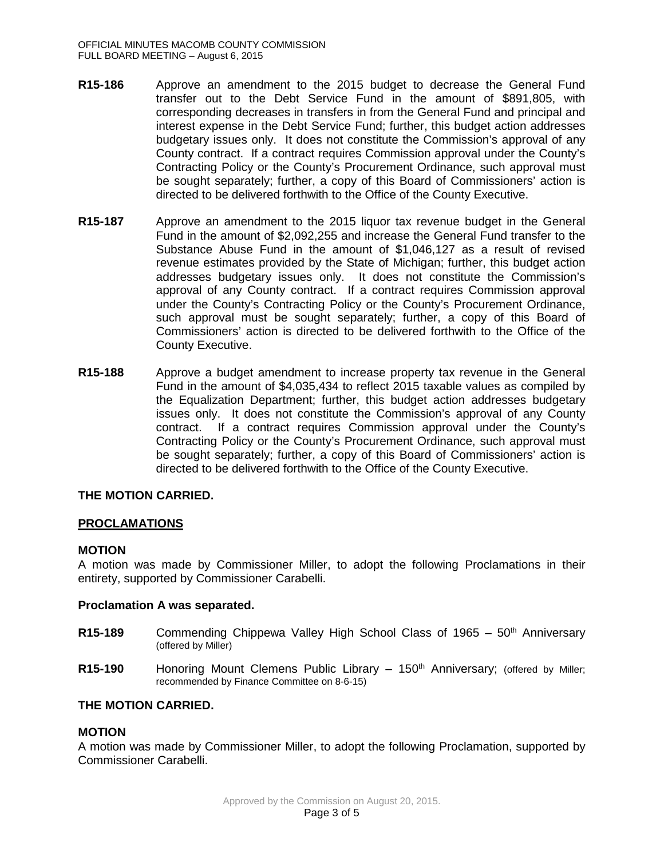- **R15-186** Approve an amendment to the 2015 budget to decrease the General Fund transfer out to the Debt Service Fund in the amount of \$891,805, with corresponding decreases in transfers in from the General Fund and principal and interest expense in the Debt Service Fund; further, this budget action addresses budgetary issues only. It does not constitute the Commission's approval of any County contract. If a contract requires Commission approval under the County's Contracting Policy or the County's Procurement Ordinance, such approval must be sought separately; further, a copy of this Board of Commissioners' action is directed to be delivered forthwith to the Office of the County Executive.
- **R15-187** Approve an amendment to the 2015 liquor tax revenue budget in the General Fund in the amount of \$2,092,255 and increase the General Fund transfer to the Substance Abuse Fund in the amount of \$1,046,127 as a result of revised revenue estimates provided by the State of Michigan; further, this budget action addresses budgetary issues only. It does not constitute the Commission's approval of any County contract. If a contract requires Commission approval under the County's Contracting Policy or the County's Procurement Ordinance, such approval must be sought separately; further, a copy of this Board of Commissioners' action is directed to be delivered forthwith to the Office of the County Executive.
- **R15-188** Approve a budget amendment to increase property tax revenue in the General Fund in the amount of \$4,035,434 to reflect 2015 taxable values as compiled by the Equalization Department; further, this budget action addresses budgetary issues only. It does not constitute the Commission's approval of any County contract. If a contract requires Commission approval under the County's Contracting Policy or the County's Procurement Ordinance, such approval must be sought separately; further, a copy of this Board of Commissioners' action is directed to be delivered forthwith to the Office of the County Executive.

### **THE MOTION CARRIED.**

### **PROCLAMATIONS**

#### **MOTION**

A motion was made by Commissioner Miller, to adopt the following Proclamations in their entirety, supported by Commissioner Carabelli.

#### **Proclamation A was separated.**

- **R15-189** Commending Chippewa Valley High School Class of 1965 50<sup>th</sup> Anniversary (offered by Miller)
- **R15-190** Honoring Mount Clemens Public Library 150<sup>th</sup> Anniversary: (offered by Miller; recommended by Finance Committee on 8-6-15)

### **THE MOTION CARRIED.**

### **MOTION**

A motion was made by Commissioner Miller, to adopt the following Proclamation, supported by Commissioner Carabelli.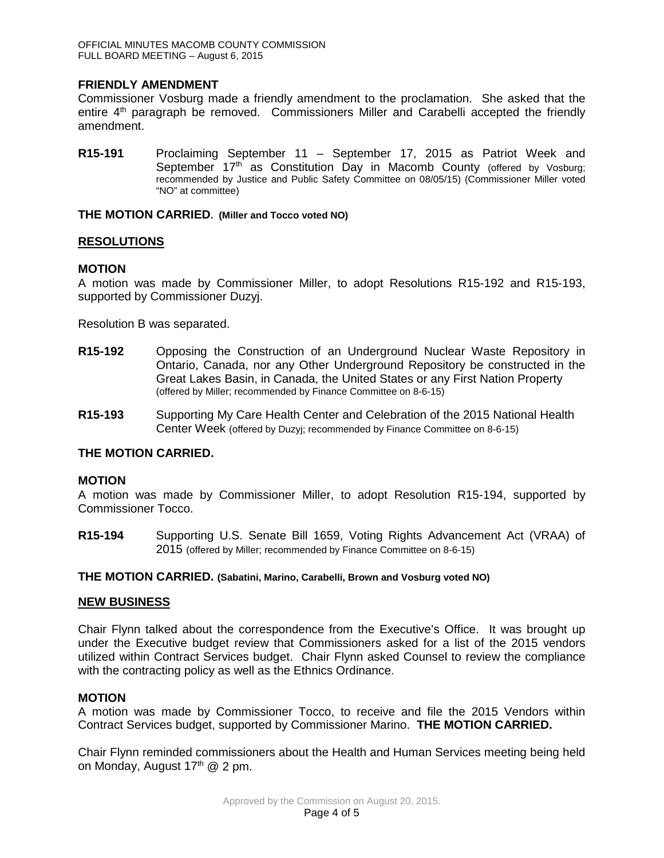### **FRIENDLY AMENDMENT**

Commissioner Vosburg made a friendly amendment to the proclamation. She asked that the entire 4<sup>th</sup> paragraph be removed. Commissioners Miller and Carabelli accepted the friendly amendment.

**R15-191** Proclaiming September 11 – September 17, 2015 as Patriot Week and September  $17<sup>th</sup>$  as Constitution Day in Macomb County (offered by Vosburg; recommended by Justice and Public Safety Committee on 08/05/15) (Commissioner Miller voted "NO" at committee)

**THE MOTION CARRIED. (Miller and Tocco voted NO)**

#### **RESOLUTIONS**

#### **MOTION**

A motion was made by Commissioner Miller, to adopt Resolutions R15-192 and R15-193, supported by Commissioner Duzyj.

Resolution B was separated.

- **R15-192** Opposing the Construction of an Underground Nuclear Waste Repository in Ontario, Canada, nor any Other Underground Repository be constructed in the Great Lakes Basin, in Canada, the United States or any First Nation Property (offered by Miller; recommended by Finance Committee on 8-6-15)
- **R15-193** Supporting My Care Health Center and Celebration of the 2015 National Health Center Week (offered by Duzyj; recommended by Finance Committee on 8-6-15)

### **THE MOTION CARRIED.**

#### **MOTION**

A motion was made by Commissioner Miller, to adopt Resolution R15-194, supported by Commissioner Tocco.

**R15-194** Supporting U.S. Senate Bill 1659, Voting Rights Advancement Act (VRAA) of 2015 (offered by Miller; recommended by Finance Committee on 8-6-15)

#### **THE MOTION CARRIED. (Sabatini, Marino, Carabelli, Brown and Vosburg voted NO)**

#### **NEW BUSINESS**

Chair Flynn talked about the correspondence from the Executive's Office. It was brought up under the Executive budget review that Commissioners asked for a list of the 2015 vendors utilized within Contract Services budget. Chair Flynn asked Counsel to review the compliance with the contracting policy as well as the Ethnics Ordinance.

#### **MOTION**

A motion was made by Commissioner Tocco, to receive and file the 2015 Vendors within Contract Services budget, supported by Commissioner Marino. **THE MOTION CARRIED.**

Chair Flynn reminded commissioners about the Health and Human Services meeting being held on Monday, August  $17<sup>th</sup>$  @ 2 pm.